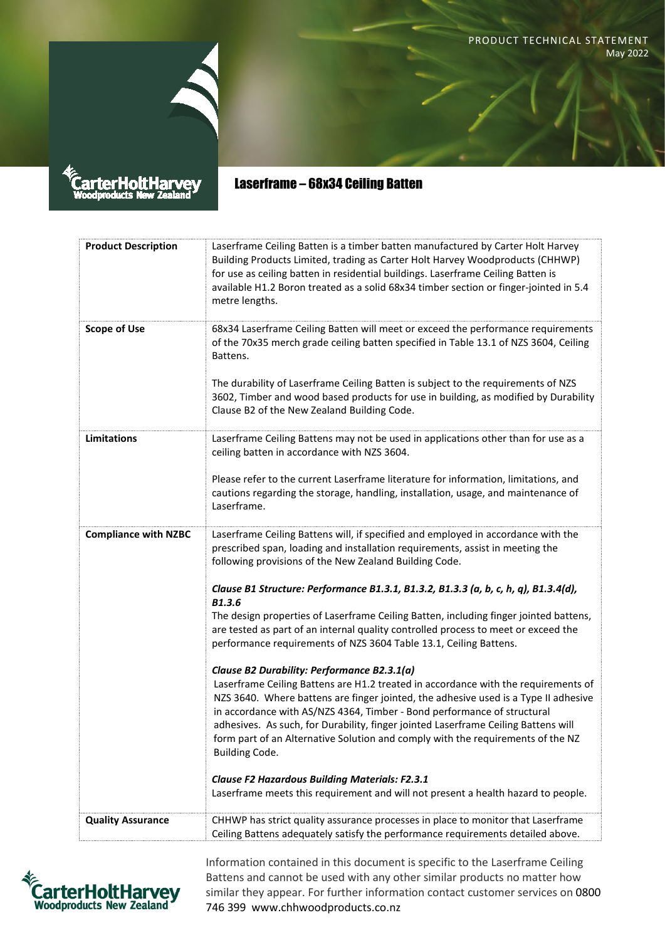PRODUCT TECHNICAL STATEMENT May 2022



arterHoltHa

Laserframe – 68x34 Ceiling Batten

| <b>Product Description</b>  | Laserframe Ceiling Batten is a timber batten manufactured by Carter Holt Harvey<br>Building Products Limited, trading as Carter Holt Harvey Woodproducts (CHHWP)<br>for use as ceiling batten in residential buildings. Laserframe Ceiling Batten is<br>available H1.2 Boron treated as a solid 68x34 timber section or finger-jointed in 5.4<br>metre lengths.                                                                                                                                       |
|-----------------------------|-------------------------------------------------------------------------------------------------------------------------------------------------------------------------------------------------------------------------------------------------------------------------------------------------------------------------------------------------------------------------------------------------------------------------------------------------------------------------------------------------------|
| <b>Scope of Use</b>         | 68x34 Laserframe Ceiling Batten will meet or exceed the performance requirements<br>of the 70x35 merch grade ceiling batten specified in Table 13.1 of NZS 3604, Ceiling<br>Battens.                                                                                                                                                                                                                                                                                                                  |
|                             | The durability of Laserframe Ceiling Batten is subject to the requirements of NZS<br>3602, Timber and wood based products for use in building, as modified by Durability<br>Clause B2 of the New Zealand Building Code.                                                                                                                                                                                                                                                                               |
| Limitations                 | Laserframe Ceiling Battens may not be used in applications other than for use as a<br>ceiling batten in accordance with NZS 3604.                                                                                                                                                                                                                                                                                                                                                                     |
|                             | Please refer to the current Laserframe literature for information, limitations, and<br>cautions regarding the storage, handling, installation, usage, and maintenance of<br>Laserframe.                                                                                                                                                                                                                                                                                                               |
| <b>Compliance with NZBC</b> | Laserframe Ceiling Battens will, if specified and employed in accordance with the<br>prescribed span, loading and installation requirements, assist in meeting the<br>following provisions of the New Zealand Building Code.                                                                                                                                                                                                                                                                          |
|                             | Clause B1 Structure: Performance B1.3.1, B1.3.2, B1.3.3 (a, b, c, h, q), B1.3.4(d),<br><b>B1.3.6</b>                                                                                                                                                                                                                                                                                                                                                                                                  |
|                             | The design properties of Laserframe Ceiling Batten, including finger jointed battens,<br>are tested as part of an internal quality controlled process to meet or exceed the<br>performance requirements of NZS 3604 Table 13.1, Ceiling Battens.                                                                                                                                                                                                                                                      |
|                             | Clause B2 Durability: Performance B2.3.1(a)<br>Laserframe Ceiling Battens are H1.2 treated in accordance with the requirements of<br>NZS 3640. Where battens are finger jointed, the adhesive used is a Type II adhesive<br>in accordance with AS/NZS 4364, Timber - Bond performance of structural<br>adhesives. As such, for Durability, finger jointed Laserframe Ceiling Battens will<br>form part of an Alternative Solution and comply with the requirements of the NZ<br><b>Building Code.</b> |
|                             | <b>Clause F2 Hazardous Building Materials: F2.3.1</b>                                                                                                                                                                                                                                                                                                                                                                                                                                                 |
|                             | Laserframe meets this requirement and will not present a health hazard to people.                                                                                                                                                                                                                                                                                                                                                                                                                     |
| <b>Quality Assurance</b>    | CHHWP has strict quality assurance processes in place to monitor that Laserframe<br>Ceiling Battens adequately satisfy the performance requirements detailed above.                                                                                                                                                                                                                                                                                                                                   |



Information contained in this document is specific to the Laserframe Ceiling Battens and cannot be used with any other similar products no matter how similar they appear. For further information contact customer services on 0800 746 399 www.chhwoodproducts.co.nz